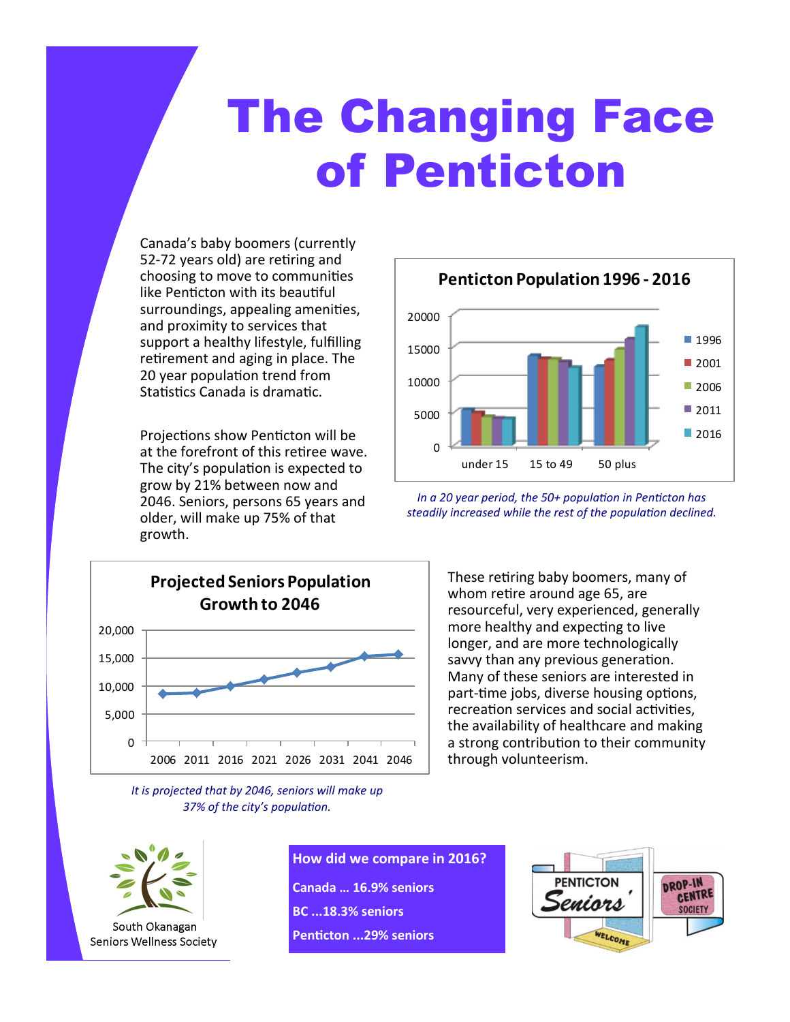# The Changing Face of Penticton

Canada's baby boomers (currently 52-72 years old) are retiring and choosing to move to communities like Penticton with its beautiful surroundings, appealing amenities, and proximity to services that support a healthy lifestyle, fulfilling retirement and aging in place. The 20 year population trend from Statistics Canada is dramatic.

Projections show Penticton will be at the forefront of this retiree wave. The city's population is expected to grow by 21% between now and 2046. Seniors, persons 65 years and older, will make up 75% of that



*It is projected that by 2046, seniors will make up 37% of the city's population.*



*In a 20 year period, the 50+ population in Penticton has steadily increased while the rest of the population declined.*

> These retiring baby boomers, many of whom retire around age 65, are resourceful, very experienced, generally more healthy and expecting to live longer, and are more technologically savvy than any previous generation. Many of these seniors are interested in part-time jobs, diverse housing options, recreation services and social activities, the availability of healthcare and making a strong contribution to their community through volunteerism.



**How did we compare in 2016? Canada … 16.9% seniors BC ...18.3% seniors Penticton ...29% seniors**

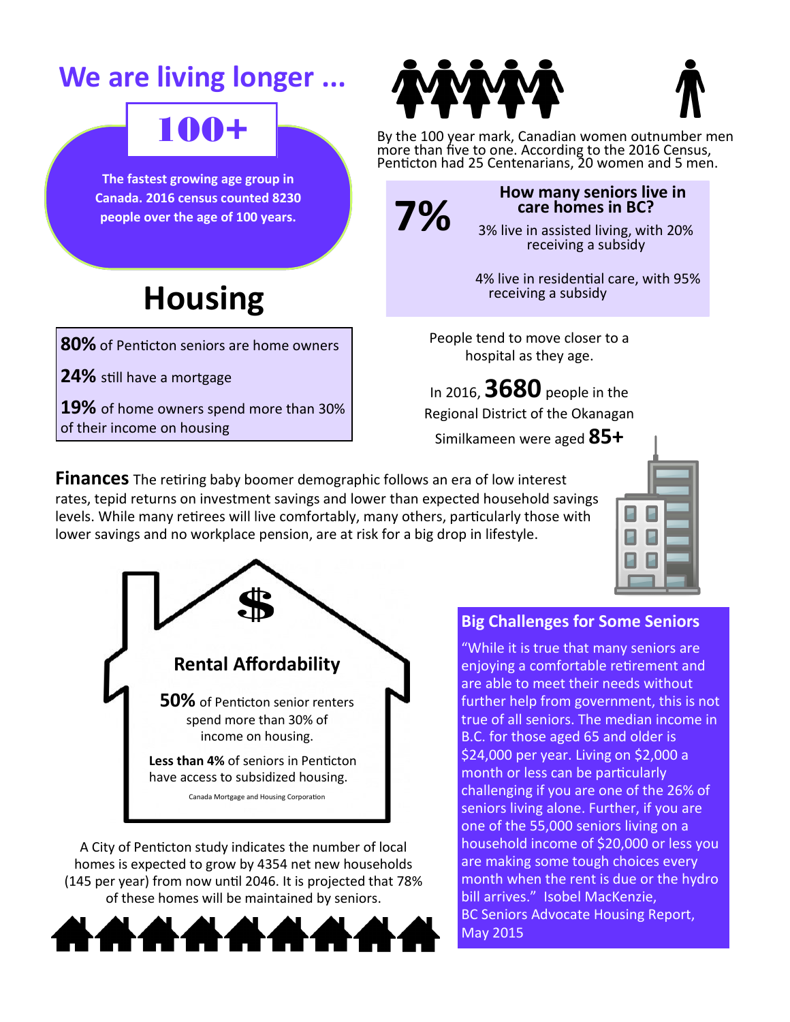### **We are living longer ...**

### 100+

**The fastest growing age group in The fastest growing age group in Canada. 2016 census counted 8230 Canada. 2016 census counted 8230 people over the age of 100 years. people over the age of 100 years.**

## **Housing**

**80%** of Penticton seniors are home owners

**24%** still have a mortgage

**19%** of home owners spend more than 30% of their income on housing

By the 100 year mark, Canadian women outnumber men more than five to one. According to the 2016 Census, Penticton had 25 Centenarians, 20 women and 5 men.



#### **How many seniors live in care homes in BC?**

3% live in assisted living, with 20% receiving a subsidy

 4% live in residential care, with 95% receiving a subsidy

People tend to move closer to a hospital as they age.

In 2016, **3680** people in the Regional District of the Okanagan

Similkameen were aged **85+** 

**Finances** The retiring baby boomer demographic follows an era of low interest rates, tepid returns on investment savings and lower than expected household savings levels. While many retirees will live comfortably, many others, particularly those with lower savings and no workplace pension, are at risk for a big drop in lifestyle.





A City of Penticton study indicates the number of local homes is expected to grow by 4354 net new households (145 per year) from now until 2046. It is projected that 78% of these homes will be maintained by seniors.



#### **Big Challenges for Some Seniors**

"While it is true that many seniors are enjoying a comfortable retirement and are able to meet their needs without further help from government, this is not true of all seniors. The median income in B.C. for those aged 65 and older is \$24,000 per year. Living on \$2,000 a month or less can be particularly challenging if you are one of the 26% of seniors living alone. Further, if you are one of the 55,000 seniors living on a household income of \$20,000 or less you are making some tough choices every month when the rent is due or the hydro bill arrives." Isobel MacKenzie, BC Seniors Advocate Housing Report, May 2015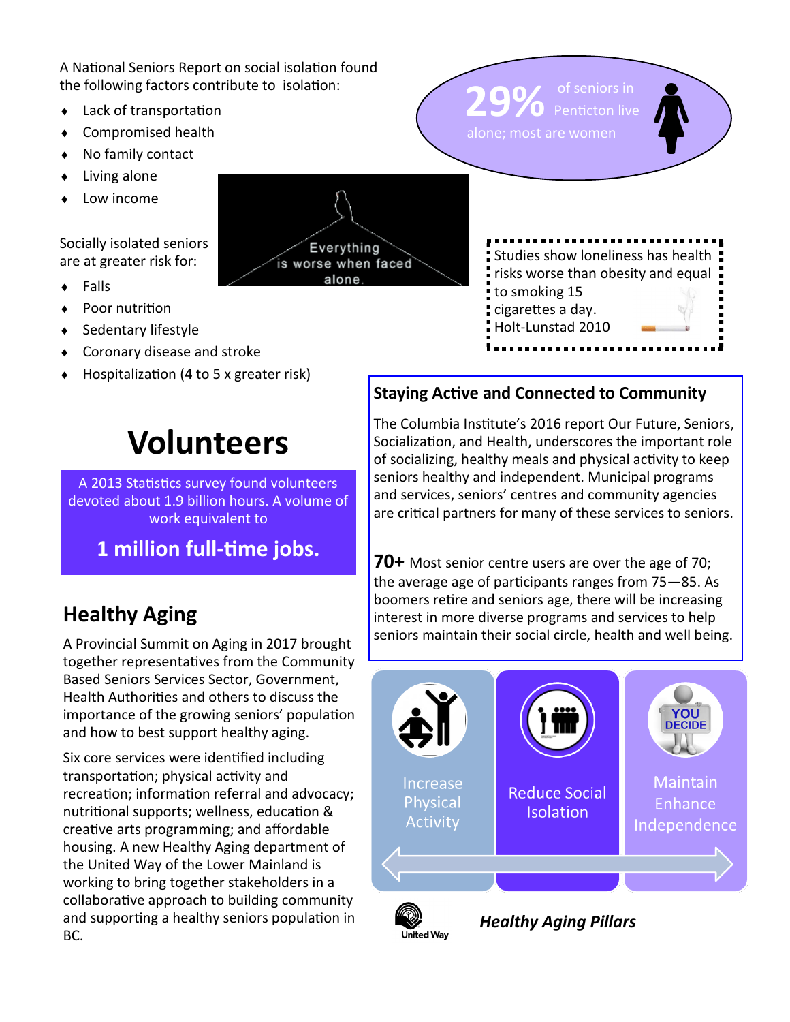A National Seniors Report on social isolation found the following factors contribute to isolation:

- Lack of transportation
- Compromised health
- No family contact
- Living alone
- Low income

Socially isolated seniors are at greater risk for:

**◆** Falls

- Poor nutrition
- Sedentary lifestyle
- Coronary disease and stroke
- Hospitalization (4 to 5 x greater risk)





#### **Staying Active and Connected to Community**

29% of seniors in

The Columbia Institute's 2016 report Our Future, Seniors, Socialization, and Health, underscores the important role of socializing, healthy meals and physical activity to keep seniors healthy and independent. Municipal programs and services, seniors' centres and community agencies are critical partners for many of these services to seniors.

### **Healthy Aging**

A Provincial Summit on Aging in 2017 brought together representatives from the Community Based Seniors Services Sector, Government, Health Authorities and others to discuss the importance of the growing seniors' population and how to best support healthy aging.

A 2013 Statistics survey found volunteers devoted about 1.9 billion hours. A volume of work equivalent to

**Volunteers**

**1 million full-time jobs.** 

Six core services were identified including transportation; physical activity and recreation; information referral and advocacy; nutritional supports; wellness, education & creative arts programming; and affordable housing. A new Healthy Aging department of the United Way of the Lower Mainland is working to bring together stakeholders in a collaborative approach to building community and supporting a healthy seniors population in BC.

**70+** Most senior centre users are over the age of 70; the average age of participants ranges from 75—85. As boomers retire and seniors age, there will be increasing interest in more diverse programs and services to help seniors maintain their social circle, health and well being.





*Healthy Aging Pillars*